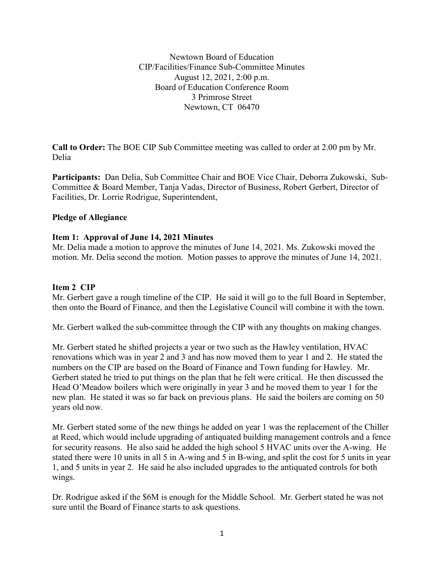Newtown Board of Education CIP/Facilities/Finance Sub-Committee Minutes August 12, 2021, 2:00 p.m. Board of Education Conference Room 3 Primrose Street Newtown, CT 06470

**Call to Order:** The BOE CIP Sub Committee meeting was called to order at 2.00 pm by Mr. Delia

**Participants:** Dan Delia, Sub Committee Chair and BOE Vice Chair, Deborra Zukowski, Sub-Committee & Board Member, Tanja Vadas, Director of Business, Robert Gerbert, Director of Facilities, Dr. Lorrie Rodrigue, Superintendent,

### **Pledge of Allegiance**

#### **Item 1: Approval of June 14, 2021 Minutes**

Mr. Delia made a motion to approve the minutes of June 14, 2021. Ms. Zukowski moved the motion. Mr. Delia second the motion. Motion passes to approve the minutes of June 14, 2021.

#### **Item 2 CIP**

Mr. Gerbert gave a rough timeline of the CIP. He said it will go to the full Board in September, then onto the Board of Finance, and then the Legislative Council will combine it with the town.

Mr. Gerbert walked the sub-committee through the CIP with any thoughts on making changes.

Mr. Gerbert stated he shifted projects a year or two such as the Hawley ventilation, HVAC renovations which was in year 2 and 3 and has now moved them to year 1 and 2. He stated the numbers on the CIP are based on the Board of Finance and Town funding for Hawley. Mr. Gerbert stated he tried to put things on the plan that he felt were critical. He then discussed the Head O'Meadow boilers which were originally in year 3 and he moved them to year 1 for the new plan. He stated it was so far back on previous plans. He said the boilers are coming on 50 years old now.

Mr. Gerbert stated some of the new things he added on year 1 was the replacement of the Chiller at Reed, which would include upgrading of antiquated building management controls and a fence for security reasons. He also said he added the high school 5 HVAC units over the A-wing. He stated there were 10 units in all 5 in A-wing and 5 in B-wing, and split the cost for 5 units in year 1, and 5 units in year 2. He said he also included upgrades to the antiquated controls for both wings.

Dr. Rodrigue asked if the \$6M is enough for the Middle School. Mr. Gerbert stated he was not sure until the Board of Finance starts to ask questions.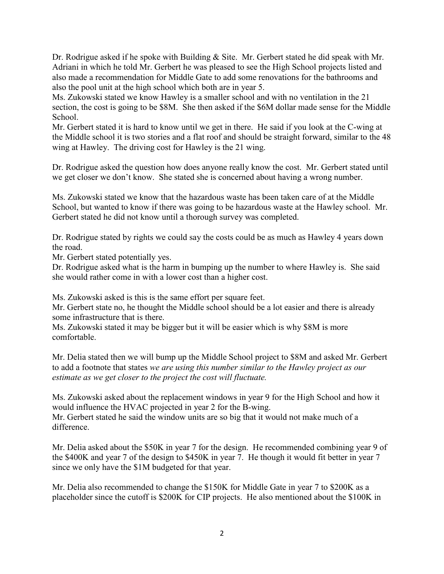Dr. Rodrigue asked if he spoke with Building & Site. Mr. Gerbert stated he did speak with Mr. Adriani in which he told Mr. Gerbert he was pleased to see the High School projects listed and also made a recommendation for Middle Gate to add some renovations for the bathrooms and also the pool unit at the high school which both are in year 5.

Ms. Zukowski stated we know Hawley is a smaller school and with no ventilation in the 21 section, the cost is going to be \$8M. She then asked if the \$6M dollar made sense for the Middle School.

Mr. Gerbert stated it is hard to know until we get in there. He said if you look at the C-wing at the Middle school it is two stories and a flat roof and should be straight forward, similar to the 48 wing at Hawley. The driving cost for Hawley is the 21 wing.

Dr. Rodrigue asked the question how does anyone really know the cost. Mr. Gerbert stated until we get closer we don't know. She stated she is concerned about having a wrong number.

Ms. Zukowski stated we know that the hazardous waste has been taken care of at the Middle School, but wanted to know if there was going to be hazardous waste at the Hawley school. Mr. Gerbert stated he did not know until a thorough survey was completed.

Dr. Rodrigue stated by rights we could say the costs could be as much as Hawley 4 years down the road.

Mr. Gerbert stated potentially yes.

Dr. Rodrigue asked what is the harm in bumping up the number to where Hawley is. She said she would rather come in with a lower cost than a higher cost.

Ms. Zukowski asked is this is the same effort per square feet.

Mr. Gerbert state no, he thought the Middle school should be a lot easier and there is already some infrastructure that is there.

Ms. Zukowski stated it may be bigger but it will be easier which is why \$8M is more comfortable.

Mr. Delia stated then we will bump up the Middle School project to \$8M and asked Mr. Gerbert to add a footnote that states *we are using this number similar to the Hawley project as our estimate as we get closer to the project the cost will fluctuate.*

Ms. Zukowski asked about the replacement windows in year 9 for the High School and how it would influence the HVAC projected in year 2 for the B-wing. Mr. Gerbert stated he said the window units are so big that it would not make much of a difference.

Mr. Delia asked about the \$50K in year 7 for the design. He recommended combining year 9 of the \$400K and year 7 of the design to \$450K in year 7. He though it would fit better in year 7 since we only have the \$1M budgeted for that year.

Mr. Delia also recommended to change the \$150K for Middle Gate in year 7 to \$200K as a placeholder since the cutoff is \$200K for CIP projects. He also mentioned about the \$100K in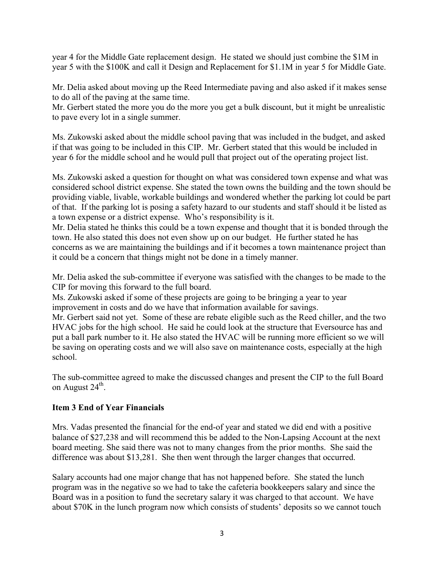year 4 for the Middle Gate replacement design. He stated we should just combine the \$1M in year 5 with the \$100K and call it Design and Replacement for \$1.1M in year 5 for Middle Gate.

Mr. Delia asked about moving up the Reed Intermediate paving and also asked if it makes sense to do all of the paving at the same time.

Mr. Gerbert stated the more you do the more you get a bulk discount, but it might be unrealistic to pave every lot in a single summer.

Ms. Zukowski asked about the middle school paving that was included in the budget, and asked if that was going to be included in this CIP. Mr. Gerbert stated that this would be included in year 6 for the middle school and he would pull that project out of the operating project list.

Ms. Zukowski asked a question for thought on what was considered town expense and what was considered school district expense. She stated the town owns the building and the town should be providing viable, livable, workable buildings and wondered whether the parking lot could be part of that. If the parking lot is posing a safety hazard to our students and staff should it be listed as a town expense or a district expense. Who's responsibility is it.

Mr. Delia stated he thinks this could be a town expense and thought that it is bonded through the town. He also stated this does not even show up on our budget. He further stated he has concerns as we are maintaining the buildings and if it becomes a town maintenance project than it could be a concern that things might not be done in a timely manner.

Mr. Delia asked the sub-committee if everyone was satisfied with the changes to be made to the CIP for moving this forward to the full board.

Ms. Zukowski asked if some of these projects are going to be bringing a year to year improvement in costs and do we have that information available for savings.

Mr. Gerbert said not yet. Some of these are rebate eligible such as the Reed chiller, and the two HVAC jobs for the high school. He said he could look at the structure that Eversource has and put a ball park number to it. He also stated the HVAC will be running more efficient so we will be saving on operating costs and we will also save on maintenance costs, especially at the high school.

The sub-committee agreed to make the discussed changes and present the CIP to the full Board on August  $24^{\text{th}}$ .

## **Item 3 End of Year Financials**

Mrs. Vadas presented the financial for the end-of year and stated we did end with a positive balance of \$27,238 and will recommend this be added to the Non-Lapsing Account at the next board meeting. She said there was not to many changes from the prior months. She said the difference was about \$13,281. She then went through the larger changes that occurred.

Salary accounts had one major change that has not happened before. She stated the lunch program was in the negative so we had to take the cafeteria bookkeepers salary and since the Board was in a position to fund the secretary salary it was charged to that account. We have about \$70K in the lunch program now which consists of students' deposits so we cannot touch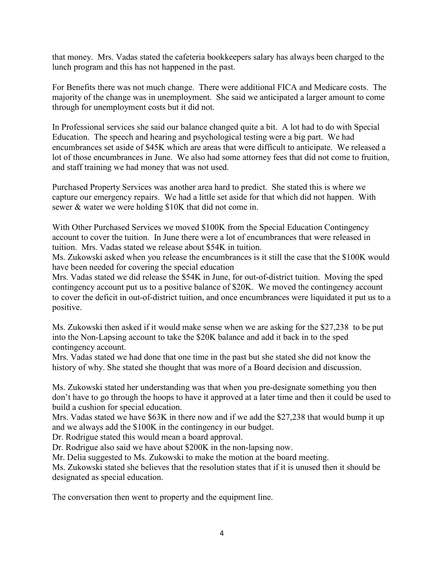that money. Mrs. Vadas stated the cafeteria bookkeepers salary has always been charged to the lunch program and this has not happened in the past.

For Benefits there was not much change. There were additional FICA and Medicare costs. The majority of the change was in unemployment. She said we anticipated a larger amount to come through for unemployment costs but it did not.

In Professional services she said our balance changed quite a bit. A lot had to do with Special Education. The speech and hearing and psychological testing were a big part. We had encumbrances set aside of \$45K which are areas that were difficult to anticipate. We released a lot of those encumbrances in June. We also had some attorney fees that did not come to fruition, and staff training we had money that was not used.

Purchased Property Services was another area hard to predict. She stated this is where we capture our emergency repairs. We had a little set aside for that which did not happen. With sewer & water we were holding \$10K that did not come in.

With Other Purchased Services we moved \$100K from the Special Education Contingency account to cover the tuition. In June there were a lot of encumbrances that were released in tuition. Mrs. Vadas stated we release about \$54K in tuition.

Ms. Zukowski asked when you release the encumbrances is it still the case that the \$100K would have been needed for covering the special education

Mrs. Vadas stated we did release the \$54K in June, for out-of-district tuition. Moving the sped contingency account put us to a positive balance of \$20K. We moved the contingency account to cover the deficit in out-of-district tuition, and once encumbrances were liquidated it put us to a positive.

Ms. Zukowski then asked if it would make sense when we are asking for the \$27,238 to be put into the Non-Lapsing account to take the \$20K balance and add it back in to the sped contingency account.

Mrs. Vadas stated we had done that one time in the past but she stated she did not know the history of why. She stated she thought that was more of a Board decision and discussion.

Ms. Zukowski stated her understanding was that when you pre-designate something you then don't have to go through the hoops to have it approved at a later time and then it could be used to build a cushion for special education.

Mrs. Vadas stated we have \$63K in there now and if we add the \$27,238 that would bump it up and we always add the \$100K in the contingency in our budget.

Dr. Rodrigue stated this would mean a board approval.

Dr. Rodrigue also said we have about \$200K in the non-lapsing now.

Mr. Delia suggested to Ms. Zukowski to make the motion at the board meeting.

Ms. Zukowski stated she believes that the resolution states that if it is unused then it should be designated as special education.

The conversation then went to property and the equipment line.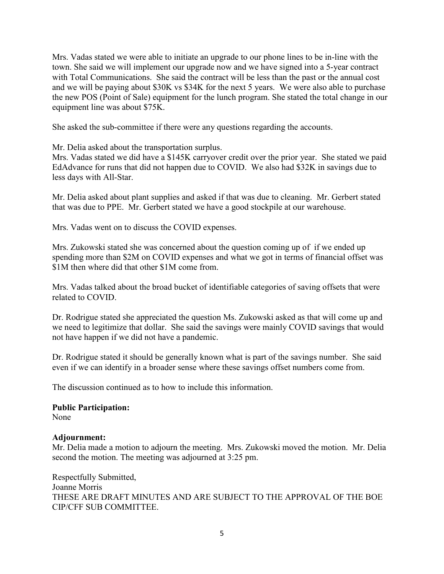Mrs. Vadas stated we were able to initiate an upgrade to our phone lines to be in-line with the town. She said we will implement our upgrade now and we have signed into a 5-year contract with Total Communications. She said the contract will be less than the past or the annual cost and we will be paying about \$30K vs \$34K for the next 5 years. We were also able to purchase the new POS (Point of Sale) equipment for the lunch program. She stated the total change in our equipment line was about \$75K.

She asked the sub-committee if there were any questions regarding the accounts.

Mr. Delia asked about the transportation surplus.

Mrs. Vadas stated we did have a \$145K carryover credit over the prior year. She stated we paid EdAdvance for runs that did not happen due to COVID. We also had \$32K in savings due to less days with All-Star.

Mr. Delia asked about plant supplies and asked if that was due to cleaning. Mr. Gerbert stated that was due to PPE. Mr. Gerbert stated we have a good stockpile at our warehouse.

Mrs. Vadas went on to discuss the COVID expenses.

Mrs. Zukowski stated she was concerned about the question coming up of if we ended up spending more than \$2M on COVID expenses and what we got in terms of financial offset was \$1M then where did that other \$1M come from.

Mrs. Vadas talked about the broad bucket of identifiable categories of saving offsets that were related to COVID.

Dr. Rodrigue stated she appreciated the question Ms. Zukowski asked as that will come up and we need to legitimize that dollar. She said the savings were mainly COVID savings that would not have happen if we did not have a pandemic.

Dr. Rodrigue stated it should be generally known what is part of the savings number. She said even if we can identify in a broader sense where these savings offset numbers come from.

The discussion continued as to how to include this information.

# **Public Participation:**

None

#### **Adjournment:**

Mr. Delia made a motion to adjourn the meeting. Mrs. Zukowski moved the motion. Mr. Delia second the motion. The meeting was adjourned at 3:25 pm.

Respectfully Submitted, Joanne Morris THESE ARE DRAFT MINUTES AND ARE SUBJECT TO THE APPROVAL OF THE BOE CIP/CFF SUB COMMITTEE.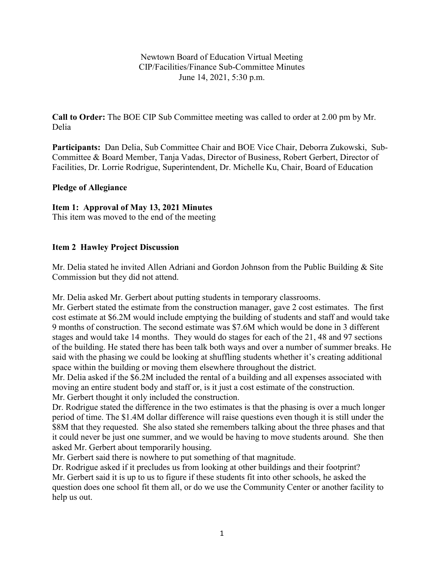Newtown Board of Education Virtual Meeting CIP/Facilities/Finance Sub-Committee Minutes June 14, 2021, 5:30 p.m.

**Call to Order:** The BOE CIP Sub Committee meeting was called to order at 2.00 pm by Mr. Delia

**Participants:** Dan Delia, Sub Committee Chair and BOE Vice Chair, Deborra Zukowski, Sub-Committee & Board Member, Tanja Vadas, Director of Business, Robert Gerbert, Director of Facilities, Dr. Lorrie Rodrigue, Superintendent, Dr. Michelle Ku, Chair, Board of Education

## **Pledge of Allegiance**

## **Item 1: Approval of May 13, 2021 Minutes**

This item was moved to the end of the meeting

## **Item 2 Hawley Project Discussion**

Mr. Delia stated he invited Allen Adriani and Gordon Johnson from the Public Building & Site Commission but they did not attend.

Mr. Delia asked Mr. Gerbert about putting students in temporary classrooms.

Mr. Gerbert stated the estimate from the construction manager, gave 2 cost estimates. The first cost estimate at \$6.2M would include emptying the building of students and staff and would take 9 months of construction. The second estimate was \$7.6M which would be done in 3 different stages and would take 14 months. They would do stages for each of the 21, 48 and 97 sections of the building. He stated there has been talk both ways and over a number of summer breaks. He said with the phasing we could be looking at shuffling students whether it's creating additional space within the building or moving them elsewhere throughout the district.

Mr. Delia asked if the \$6.2M included the rental of a building and all expenses associated with moving an entire student body and staff or, is it just a cost estimate of the construction. Mr. Gerbert thought it only included the construction.

Dr. Rodrigue stated the difference in the two estimates is that the phasing is over a much longer period of time. The \$1.4M dollar difference will raise questions even though it is still under the \$8M that they requested. She also stated she remembers talking about the three phases and that it could never be just one summer, and we would be having to move students around. She then asked Mr. Gerbert about temporarily housing.

Mr. Gerbert said there is nowhere to put something of that magnitude.

Dr. Rodrigue asked if it precludes us from looking at other buildings and their footprint? Mr. Gerbert said it is up to us to figure if these students fit into other schools, he asked the question does one school fit them all, or do we use the Community Center or another facility to help us out.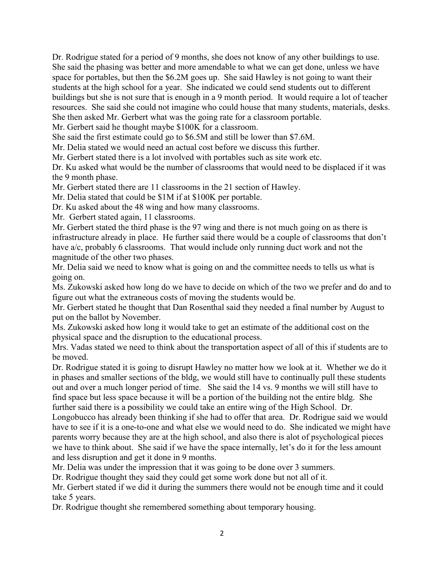Dr. Rodrigue stated for a period of 9 months, she does not know of any other buildings to use. She said the phasing was better and more amendable to what we can get done, unless we have space for portables, but then the \$6.2M goes up. She said Hawley is not going to want their students at the high school for a year. She indicated we could send students out to different buildings but she is not sure that is enough in a 9 month period. It would require a lot of teacher resources. She said she could not imagine who could house that many students, materials, desks. She then asked Mr. Gerbert what was the going rate for a classroom portable.

Mr. Gerbert said he thought maybe \$100K for a classroom.

She said the first estimate could go to \$6.5M and still be lower than \$7.6M.

Mr. Delia stated we would need an actual cost before we discuss this further.

Mr. Gerbert stated there is a lot involved with portables such as site work etc.

Dr. Ku asked what would be the number of classrooms that would need to be displaced if it was the 9 month phase.

Mr. Gerbert stated there are 11 classrooms in the 21 section of Hawley.

Mr. Delia stated that could be \$1M if at \$100K per portable.

Dr. Ku asked about the 48 wing and how many classrooms.

Mr. Gerbert stated again, 11 classrooms.

Mr. Gerbert stated the third phase is the 97 wing and there is not much going on as there is infrastructure already in place. He further said there would be a couple of classrooms that don't have a/c, probably 6 classrooms. That would include only running duct work and not the magnitude of the other two phases.

Mr. Delia said we need to know what is going on and the committee needs to tells us what is going on.

Ms. Zukowski asked how long do we have to decide on which of the two we prefer and do and to figure out what the extraneous costs of moving the students would be.

Mr. Gerbert stated he thought that Dan Rosenthal said they needed a final number by August to put on the ballot by November.

Ms. Zukowski asked how long it would take to get an estimate of the additional cost on the physical space and the disruption to the educational process.

Mrs. Vadas stated we need to think about the transportation aspect of all of this if students are to be moved.

Dr. Rodrigue stated it is going to disrupt Hawley no matter how we look at it. Whether we do it in phases and smaller sections of the bldg, we would still have to continually pull these students out and over a much longer period of time. She said the 14 vs. 9 months we will still have to find space but less space because it will be a portion of the building not the entire bldg. She further said there is a possibility we could take an entire wing of the High School. Dr.

Longobucco has already been thinking if she had to offer that area. Dr. Rodrigue said we would have to see if it is a one-to-one and what else we would need to do. She indicated we might have parents worry because they are at the high school, and also there is alot of psychological pieces we have to think about. She said if we have the space internally, let's do it for the less amount and less disruption and get it done in 9 months.

Mr. Delia was under the impression that it was going to be done over 3 summers.

Dr. Rodrigue thought they said they could get some work done but not all of it.

Mr. Gerbert stated if we did it during the summers there would not be enough time and it could take 5 years.

Dr. Rodrigue thought she remembered something about temporary housing.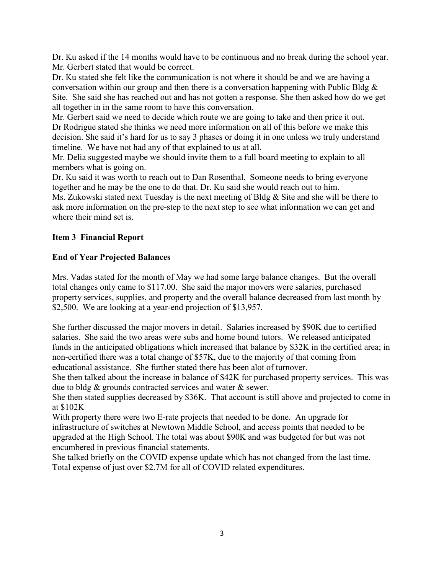Dr. Ku asked if the 14 months would have to be continuous and no break during the school year. Mr. Gerbert stated that would be correct.

Dr. Ku stated she felt like the communication is not where it should be and we are having a conversation within our group and then there is a conversation happening with Public Bldg  $\&$ Site. She said she has reached out and has not gotten a response. She then asked how do we get all together in in the same room to have this conversation.

Mr. Gerbert said we need to decide which route we are going to take and then price it out. Dr Rodrigue stated she thinks we need more information on all of this before we make this decision. She said it's hard for us to say 3 phases or doing it in one unless we truly understand timeline. We have not had any of that explained to us at all.

Mr. Delia suggested maybe we should invite them to a full board meeting to explain to all members what is going on.

Dr. Ku said it was worth to reach out to Dan Rosenthal. Someone needs to bring everyone together and he may be the one to do that. Dr. Ku said she would reach out to him.

Ms. Zukowski stated next Tuesday is the next meeting of Bldg & Site and she will be there to ask more information on the pre-step to the next step to see what information we can get and where their mind set is.

## **Item 3 Financial Report**

## **End of Year Projected Balances**

Mrs. Vadas stated for the month of May we had some large balance changes. But the overall total changes only came to \$117.00. She said the major movers were salaries, purchased property services, supplies, and property and the overall balance decreased from last month by \$2,500. We are looking at a year-end projection of \$13,957.

She further discussed the major movers in detail. Salaries increased by \$90K due to certified salaries. She said the two areas were subs and home bound tutors. We released anticipated funds in the anticipated obligations which increased that balance by \$32K in the certified area; in non-certified there was a total change of \$57K, due to the majority of that coming from educational assistance. She further stated there has been alot of turnover.

She then talked about the increase in balance of \$42K for purchased property services. This was due to bldg & grounds contracted services and water & sewer.

She then stated supplies decreased by \$36K. That account is still above and projected to come in at \$102K

With property there were two E-rate projects that needed to be done. An upgrade for infrastructure of switches at Newtown Middle School, and access points that needed to be upgraded at the High School. The total was about \$90K and was budgeted for but was not encumbered in previous financial statements.

She talked briefly on the COVID expense update which has not changed from the last time. Total expense of just over \$2.7M for all of COVID related expenditures.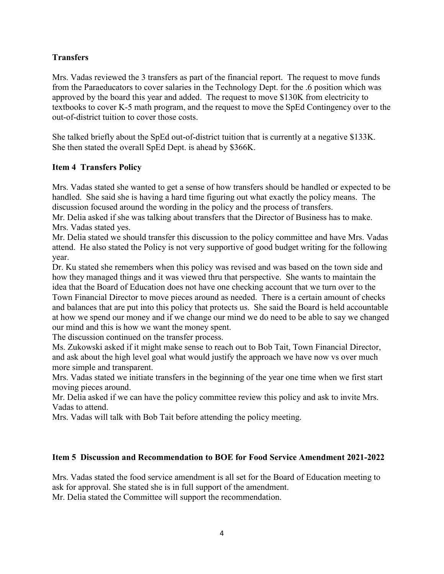## **Transfers**

Mrs. Vadas reviewed the 3 transfers as part of the financial report. The request to move funds from the Paraeducators to cover salaries in the Technology Dept. for the .6 position which was approved by the board this year and added. The request to move \$130K from electricity to textbooks to cover K-5 math program, and the request to move the SpEd Contingency over to the out-of-district tuition to cover those costs.

She talked briefly about the SpEd out-of-district tuition that is currently at a negative \$133K. She then stated the overall SpEd Dept. is ahead by \$366K.

## **Item 4 Transfers Policy**

Mrs. Vadas stated she wanted to get a sense of how transfers should be handled or expected to be handled. She said she is having a hard time figuring out what exactly the policy means. The discussion focused around the wording in the policy and the process of transfers.

Mr. Delia asked if she was talking about transfers that the Director of Business has to make. Mrs. Vadas stated yes.

Mr. Delia stated we should transfer this discussion to the policy committee and have Mrs. Vadas attend. He also stated the Policy is not very supportive of good budget writing for the following year.

Dr. Ku stated she remembers when this policy was revised and was based on the town side and how they managed things and it was viewed thru that perspective. She wants to maintain the idea that the Board of Education does not have one checking account that we turn over to the Town Financial Director to move pieces around as needed. There is a certain amount of checks and balances that are put into this policy that protects us. She said the Board is held accountable at how we spend our money and if we change our mind we do need to be able to say we changed our mind and this is how we want the money spent.

The discussion continued on the transfer process.

Ms. Zukowski asked if it might make sense to reach out to Bob Tait, Town Financial Director, and ask about the high level goal what would justify the approach we have now vs over much more simple and transparent.

Mrs. Vadas stated we initiate transfers in the beginning of the year one time when we first start moving pieces around.

Mr. Delia asked if we can have the policy committee review this policy and ask to invite Mrs. Vadas to attend.

Mrs. Vadas will talk with Bob Tait before attending the policy meeting.

#### **Item 5 Discussion and Recommendation to BOE for Food Service Amendment 2021-2022**

Mrs. Vadas stated the food service amendment is all set for the Board of Education meeting to ask for approval. She stated she is in full support of the amendment. Mr. Delia stated the Committee will support the recommendation.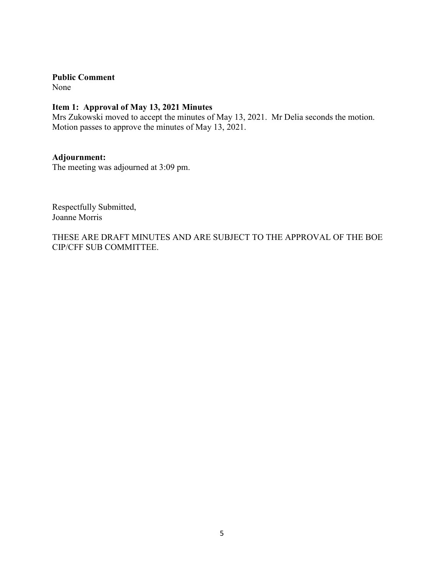**Public Comment**

None

## **Item 1: Approval of May 13, 2021 Minutes**

Mrs Zukowski moved to accept the minutes of May 13, 2021. Mr Delia seconds the motion. Motion passes to approve the minutes of May 13, 2021.

### **Adjournment:**

The meeting was adjourned at 3:09 pm.

Respectfully Submitted, Joanne Morris

THESE ARE DRAFT MINUTES AND ARE SUBJECT TO THE APPROVAL OF THE BOE CIP/CFF SUB COMMITTEE.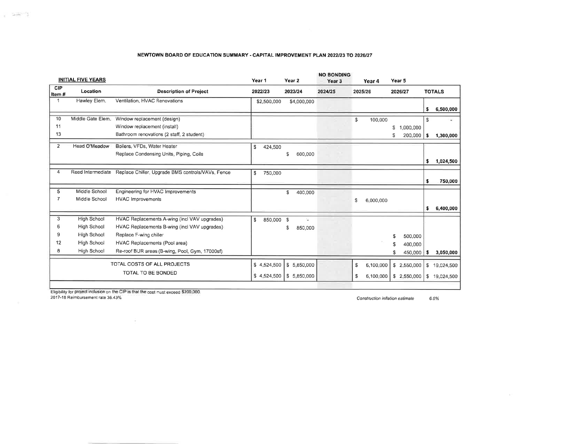#### NEWTOWN BOARD OF EDUCATION SUMMARY - CAPITAL IMPROVEMENT PLAN 2022/23 TO 2026/27

|                       | <b>INITIAL FIVE YEARS</b> |                                                                        | Year 1                     | Year 2                      | <b>NO BONDING</b><br>Year <sub>3</sub> | Year 4                            | Year 5  |                            |                              |
|-----------------------|---------------------------|------------------------------------------------------------------------|----------------------------|-----------------------------|----------------------------------------|-----------------------------------|---------|----------------------------|------------------------------|
| CIP<br>Item#          | Location                  | <b>Description of Project</b>                                          | 2022/23                    | 2023/24                     | 2024/25                                | 2025/26                           | 2026/27 |                            | <b>TOTALS</b>                |
| 1                     | Hawley Elem.              | Ventilation, HVAC Renovations                                          | \$2,500,000                | \$4,000,000                 |                                        |                                   |         | \$                         | 6,500,000                    |
| 10                    | Middle Gate Elem.         | Window replacement (design)                                            |                            |                             |                                        | \$                                | 100,000 | <b>S</b>                   |                              |
| 11                    |                           | Window replacement (install)                                           |                            |                             |                                        |                                   | s       | 1,000,000                  |                              |
| 13                    |                           | Bathroom renovations (2 staff, 2 student)                              |                            |                             |                                        |                                   | s       | 200,000<br>'S              | 1,300,000                    |
| $\overline{2}$        | Head O'Meadow             | Boilers, VFDs, Water Heater<br>Replace Condensing Units, Piping, Coils | \$<br>424,500              | \$<br>600,000               |                                        |                                   |         | s                          | 1,024,500                    |
| $\boldsymbol{\Delta}$ |                           | Reed Intermediate Replace Chiller, Upgrade BMS controls/VAVs, Fence    | \$<br>750,000              |                             |                                        |                                   |         | $\bullet$                  | 750,000                      |
| 5                     | Middle School             | Engineering for HVAC Improvements                                      |                            | \$<br>400,000               |                                        |                                   |         |                            |                              |
| 7                     | Middle School             | <b>HVAC Improvements</b>                                               |                            |                             |                                        | Ś<br>6,000,000                    |         | s                          | 6,400,000                    |
| 3                     | High School               | HVAC Replacements A-wing (incl VAV upgrades)                           | <sup>\$</sup><br>850,000   | $\mathfrak{s}$<br>÷.        |                                        |                                   |         |                            |                              |
| 6                     | <b>High School</b>        | HVAC Replacements B-wing (incl VAV upgrades)                           |                            | \$<br>850,000               |                                        |                                   |         |                            |                              |
| 9                     | High School               | Replace F-wing chiller                                                 |                            |                             |                                        |                                   | s.      | 500,000                    |                              |
| 12                    | High School               | HVAC Replacements (Pool area)                                          |                            |                             |                                        |                                   | \$      | 400,000                    |                              |
| 8                     | High School               | Re-roof BUR areas (B-wing, Pool, Gym, 17000sf)                         |                            |                             |                                        |                                   | \$      | 450,000<br>S               | 3,050,000                    |
|                       |                           | TOTAL COSTS OF ALL PROJECTS<br>TOTAL TO BE BONDED                      | \$4,524,500<br>\$4,524,500 | \$ 5,850,000<br>\$5,850,000 |                                        | \$<br>6,100,000<br>S<br>6,100,000 |         | \$2,550,000<br>\$2,550,000 | \$19,024,500<br>\$19,024,500 |
|                       |                           |                                                                        |                            |                             |                                        |                                   |         |                            |                              |

Eligibility for project inclusion on the CIP is that the cost must exceed \$200,000.<br>2017-18 Reimbursement rate 36.43%

 $\bar{\nu}$ 

Construction inflation estimate 6.0%

 $1 - 275 - 1$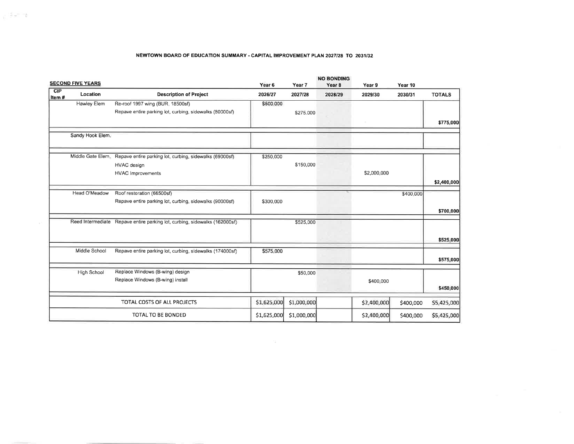#### NEWTOWN BOARD OF EDUCATION SUMMARY - CAPITAL IMPROVEMENT PLAN 2027/28 TO 2031/32

 $\rho^{-\frac{1}{2}}\omega^{2-\frac{1}{2}}$ 

|              | <b>SECOND FIVE YEARS</b> |                                                                            | Year <sub>6</sub> | Year 7      | <b>NO BONDING</b><br>Year <sub>8</sub> | Year 9      | Year 10   |               |
|--------------|--------------------------|----------------------------------------------------------------------------|-------------------|-------------|----------------------------------------|-------------|-----------|---------------|
| CIP<br>Item# | Location                 | <b>Description of Project</b>                                              | 2026/27           | 2027/28     | 2028/29                                | 2029/30     | 2030/31   | <b>TOTALS</b> |
|              | Hawley Elem              | Re-roof 1997 wing (BUR, 18500sf)                                           | \$500,000         |             |                                        |             |           |               |
|              |                          | Repave entire parking lot, curbing, sidewalks (80000sf)                    |                   | \$275,000   |                                        |             |           |               |
|              |                          |                                                                            |                   |             |                                        |             |           | \$775,000     |
|              | Sandy Hook Elem.         |                                                                            |                   |             |                                        |             |           |               |
|              | Middle Gate Elem.        | Repave entire parking lot, curbing, sidewalks (69000sf)                    | \$250,000         |             |                                        |             |           |               |
|              |                          | HVAC design                                                                |                   | \$150,000   |                                        |             |           |               |
|              |                          | <b>HVAC Improvements</b>                                                   |                   |             |                                        | \$2,000,000 |           |               |
|              |                          |                                                                            |                   |             |                                        |             |           | \$2,400,000   |
|              | Head O'Meadow            | Roof restoration (66500sf)                                                 |                   |             |                                        |             | \$400,000 |               |
|              |                          | Repave entire parking lot, curbing, sidewalks (90000sf)                    | \$300,000         |             |                                        |             |           |               |
|              |                          |                                                                            |                   |             |                                        |             |           | \$700,000     |
|              |                          | Reed Intermediate Repave entire parking lot, curbing, sidewalks (162000sf) |                   | \$525,000   |                                        |             |           |               |
|              |                          |                                                                            |                   |             |                                        |             |           | \$525,000     |
|              | Middle School            | Repave entire parking lot, curbing, sidewalks (174000sf)                   | \$575,000         |             |                                        |             |           |               |
|              |                          |                                                                            |                   |             |                                        |             |           | \$575,000     |
|              | <b>High School</b>       | Replace Windows (B-wing) design                                            |                   | \$50,000    |                                        |             |           |               |
|              |                          | Replace Windows (B-wing) install                                           |                   |             |                                        | \$400,000   |           |               |
|              |                          |                                                                            |                   |             |                                        |             |           | \$450,000     |
|              |                          | TOTAL COSTS OF ALL PROJECTS                                                | \$1,625,000       | \$1,000,000 |                                        | \$2,400,000 | \$400,000 | \$5,425,000   |
|              |                          | TOTAL TO BE BONDED                                                         | \$1,625,000       | \$1,000,000 |                                        | \$2,400,000 | \$400,000 | \$5,425,000   |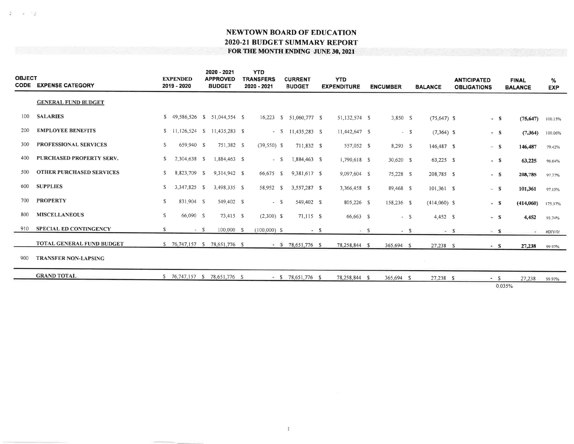$\frac{1}{2}$ 

- an ing

| <b>OBJECT</b> | <b>CODE EXPENSE CATEGORY</b>     |    | <b>EXPENDED</b><br>2019 - 2020 |       | 2020 - 2021<br><b>APPROVED</b><br><b>BUDGET</b> | <b>YTD</b><br><b>TRANSFERS</b><br>2020 - 2021 | <b>CURRENT</b><br><b>BUDGET</b> |        | <b>YTD</b><br><b>EXPENDITURE</b> |       | <b>ENCUMBER</b> |       | <b>BALANCE</b> |          | <b>ANTICIPATED</b><br><b>OBLIGATIONS</b> | <b>FINAL</b><br><b>BALANCE</b> | %<br><b>EXP</b> |
|---------------|----------------------------------|----|--------------------------------|-------|-------------------------------------------------|-----------------------------------------------|---------------------------------|--------|----------------------------------|-------|-----------------|-------|----------------|----------|------------------------------------------|--------------------------------|-----------------|
|               | <b>GENERAL FUND BUDGET</b>       |    |                                |       |                                                 |                                               |                                 |        |                                  |       |                 |       |                |          |                                          |                                |                 |
| 100           | <b>SALARIES</b>                  |    |                                |       | \$ 49,586,526 \$ 51,044,554 \$                  |                                               | 16,223 \$ 51,060,777 \$         |        | 51,132,574 \$                    |       | 3,850 S         |       | $(75,647)$ \$  |          | $\Rightarrow$ S                          | (75, 647)                      | 100 15%         |
| 200           | <b>EMPLOYEE BENEFITS</b>         |    |                                |       | \$ 11,126,524 \$ 11,435,283 \$                  |                                               | $-$ \$ 11,435,283 \$            |        | 11,442,647 S                     |       |                 | $- S$ | $(7,364)$ \$   |          | $-5$                                     | (7,364)                        | 100.06%         |
| 300           | <b>PROFESSIONAL SERVICES</b>     | S  | 659,940 \$                     |       | 751,382 S                                       | $(39,550)$ \$                                 | 711,832 \$                      |        | 557,052 \$                       |       | $8,293$ \$      |       | 146,487 \$     |          | $-$ S                                    | 146,487                        | 79.42%          |
| 400           | PURCHASED PROPERTY SERV.         | \$ | 2,304,638 \$                   |       | 1,884,463 \$                                    | $- S$                                         | 1,884,463 \$                    |        | 1,790,618 \$                     |       | $30,620$ \$     |       | $63,225$ \$    |          | - S                                      | 63,225                         | 96.64%          |
| 500           | <b>OTHER PURCHASED SERVICES</b>  | S. | 8,823,709 \$                   |       | 9,314,942 \$                                    | 66,675 \$                                     | 9,381,617 \$                    |        | 9,097,604 \$                     |       | 75,228 S        |       | 208,785 \$     |          | $- S$                                    | 208,785                        | 97.77%          |
| 600           | <b>SUPPLIES</b>                  | S. | 3,347,825 \$                   |       | 3,498,335 \$                                    | 58,952 \$                                     | 3,557,287 \$                    |        | 3,366,458 \$                     |       | 89,468 \$       |       | $101,361$ \$   |          | $-$ S                                    | 101,361                        | 97.15%          |
| 700           | <b>PROPERTY</b>                  | s. | 831,904 \$                     |       | 549,402 \$                                      | $- S$                                         | 549,402 \$                      |        | 805,226 \$                       |       | 158,236 \$      |       | $(414,060)$ S  |          | $=$ $\mathbf{s}$                         | (414,060)                      | 175 37%         |
| 800           | <b>MISCELLANEOUS</b>             | s  | 66,090 S                       |       | 73,415 S                                        | $(2,300)$ \$                                  | $71,115$ \$                     |        | 66,663 \$                        |       |                 | $- S$ | $4,452$ \$     |          | $=$ S                                    | 4,452                          | 93.74%          |
| 910           | <b>SPECIAL ED CONTINGENCY</b>    | S. |                                | $- S$ | 100,000 \$                                      | $(100,000)$ \$                                |                                 | $-$ \$ |                                  | $- S$ |                 | $-5$  |                | $\sim$ S | $-5$                                     | $\sim$                         | #DIV/0!         |
|               | <b>TOTAL GENERAL FUND BUDGET</b> |    |                                |       | \$ 76,747,157 \$ 78,651,776 \$                  |                                               | $-$ \$ 78,651,776 \$            |        | 78,258,844 \$                    |       | 365.694 S       |       | 27,238 S       |          | $\sim S$                                 | 27,238                         | 99.97%          |
| 900           | <b>TRANSFER NON-LAPSING</b>      |    |                                |       |                                                 |                                               |                                 |        |                                  |       |                 |       |                |          |                                          |                                |                 |
|               | <b>GRAND TOTAL</b>               |    |                                |       | \$ 76,747,157 \$ 78,651,776 \$                  |                                               | $-$ \$ 78,651,776 \$            |        | 78,258,844 \$                    |       | 365,694 \$      |       | $27,238$ \$    |          | $- S$                                    | 27,238                         | 99.97%          |
|               |                                  |    |                                |       |                                                 |                                               |                                 |        |                                  |       |                 |       |                |          |                                          | 0.035%                         |                 |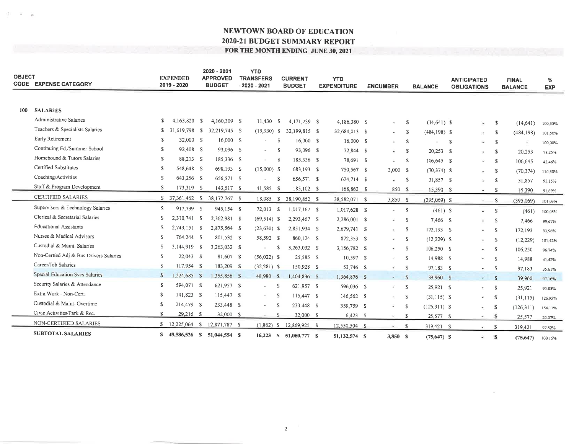| <b>OBJECT</b> | <b>CODE EXPENSE CATEGORY</b>           |              | <b>EXPENDED</b><br>2019 - 2020 | 2020 - 2021<br><b>APPROVED</b><br><b>BUDGET</b> | <b>YTD</b><br><b>TRANSFERS</b><br>2020 - 2021 |     | <b>CURRENT</b><br><b>BUDGET</b> | <b>YTD</b><br><b>EXPENDITURE</b> | <b>ENCUMBER</b>             |          | <b>BALANCE</b>  |    | <b>ANTICIPATED</b><br><b>OBLIGATIONS</b> |              | <b>FINAL</b><br><b>BALANCE</b> | %<br><b>EXP</b> |
|---------------|----------------------------------------|--------------|--------------------------------|-------------------------------------------------|-----------------------------------------------|-----|---------------------------------|----------------------------------|-----------------------------|----------|-----------------|----|------------------------------------------|--------------|--------------------------------|-----------------|
|               |                                        |              |                                |                                                 |                                               |     |                                 |                                  |                             |          |                 |    |                                          |              |                                |                 |
| 100           | <b>SALARIES</b>                        |              |                                |                                                 |                                               |     |                                 |                                  |                             |          |                 |    |                                          |              |                                |                 |
|               | Administrative Salaries                | S.           | 4,163,820 \$                   | 4,160,309 \$                                    | 11,430                                        | -S  | 4,171,739 \$                    | 4,186,380 S                      | $\sim$                      | -S       | $(14,641)$ \$   |    | $\ddot{\phantom{1}}$                     | s            | (14, 641)                      | 100 35%         |
|               | Teachers & Specialists Salaries        |              | $$31,619,798$ \;               | 32,219,745 \$                                   | $(19,930)$ \$                                 |     | 32,199,815 \$                   | 32,684,013 \$                    | ×.                          | -S       | $(484, 198)$ \$ |    | ×                                        | -S           | (484, 198)                     | 101 50%         |
|               | Early Retirement                       | S            | 32,000 \$                      | 16,000 S                                        | $\sim$                                        | -S  | 16,000 \$                       | 16,000 S                         | $\overline{a}$              | s        |                 | -S | $\sim$                                   | -S           | ٠                              | 100 00%         |
|               | Continuing Ed./Summer School           | S            | 92,408 S                       | 93,096 \$                                       | $\sim$                                        | -S  | 93.096 S                        | 72,844 S                         | ۰                           | -S       | 20,253 \$       |    | $\bullet$                                | -S           | 20,253                         | 78.25%          |
|               | Homebound & Tutors Salaries            | S            | 88,213 S                       | 185,336 S                                       |                                               | - S | 185,336 \$                      | 78.691 S                         | $\ddot{\phantom{1}}$        | -S       | 106,645 \$      |    | $\sim$                                   | <sup>S</sup> | 106,645                        | 42.46%          |
|               | Certified Substitutes                  | s.           | 548,648 \$                     | 698,193 \$                                      | $(15,000)$ S                                  |     | 683,193 S                       | 750,567 S                        | 3,000 S                     |          | $(70, 374)$ \$  |    | ÷                                        | -S           | (70, 374)                      | 110.30%         |
|               | Coaching/Activities                    | S.           | 643,256 \$                     | 656,571 \$                                      |                                               | -S  | 656,571 \$                      | 624,714 \$                       | ۰                           | -S       | 31,857 \$       |    | Э.                                       | $\mathbb{S}$ | 31,857                         | 95.15%          |
|               | Staff & Program Development            | \$           | 173,319 \$                     | 143,517 S                                       | 41,585 S                                      |     | 185,102 \$                      | 168,862 \$                       | 850 S                       |          | 15,390 S        |    | $\overline{\phantom{a}}$                 | -S           | 15,390                         | 91.69%          |
|               | <b>CERTIFIED SALARIES</b>              |              | $$37,361,462$ S                | 38,172,767 \$                                   |                                               |     | 18,085 \$ 38,190,852 \$         | 38,582,071 \$                    | 3,850 S                     |          | $(395,069)$ \$  |    | $\sim$                                   | -S           | (395,069)                      | 101 03%         |
|               | Supervisors & Technology Salaries      | S.           | 917,739 \$                     | 945,154 \$                                      | 72,013 \$                                     |     | $1,017,167$ \$                  | 1,017,628 \$                     | $\sim$                      | -S       | $(461)$ \$      |    | $\sim$                                   | -S           | (461)                          | 100.05%         |
|               | Clerical & Secretarial Salaries        | S            | 2,310,741 \$                   | 2,362,981 \$                                    | $(69,514)$ \$                                 |     | 2,293,467 \$                    | 2,286,001 \$                     | $\mathcal{L}_{\mathcal{A}}$ | -S       | 7,466 S         |    | $\equiv$                                 | S            | 7,466                          | 99.67%          |
|               | <b>Educational Assistants</b>          | S            | 2,743,151 \$                   | 2,875,564 \$                                    | $(23, 630)$ \$                                |     | 2,851,934 \$                    | 2.679,741 \$                     |                             | -S       | 172,193 S       |    | $\overline{a}$                           | -S           | 172,193                        | 93.96%          |
|               | Nurses & Medical Advisors              | S.           | 764,244 \$                     | 801,532 S                                       | 58,592 \$                                     |     | 860,124 \$                      | 872,353 \$                       | $\overline{a}$              | -S       | $(12, 229)$ \$  |    |                                          | <sup>S</sup> | (12, 229)                      | 101.42%         |
|               | Custodial & Maint, Salaries            | S            | 3,144,919 \$                   | 3,263,032 \$                                    | $\overline{\phantom{a}}$                      | -S  | 3,263,032 \$                    | 3,156,782 S                      | $\sim$                      | -S       | 106,250 \$      |    | $\ddot{\phantom{1}}$                     | -S           | 106,250                        | 96.74%          |
|               | Non-Certied Adj & Bus Drivers Salaries | S            | $22,043$ \$                    | 81,607 \$                                       | $(56,022)$ \$                                 |     | 25,585 \$                       | 10,597 \$                        | $\mathcal{L}_{\mathcal{L}}$ | -S       | 14,988 S        |    | $\sim$                                   | <sup>S</sup> | 14,988                         | 41.42%          |
|               | Career/Job Salaries                    | S            | 117,954 S                      | 183,209 S                                       | $(32, 281)$ S                                 |     | 150,928 S                       | 53,746 S                         | $\sim$                      | - \$     | 97,183 S        |    | . .                                      | <b>S</b>     | 97,183                         | 35.61%          |
|               | Special Education Svcs Salaries        | $\mathbb{S}$ | 1,224,685 \$                   | 1,355,856 \$                                    | 48,980 \$                                     |     | 1,404,836 \$                    | 1,364,876 \$                     | $-$ \$                      |          | 39,960 \$       |    | $=$ \$                                   |              | 39,960                         | 97 16%          |
|               | Security Salaries & Attendance         | S            | 594,071 \$                     | 621,957 \$                                      | $\sim$                                        | S   | 621,957 \$                      | 596,036 \$                       | $-$ S                       |          | 25,921 \$       |    |                                          | - S          | 25,921                         | 95 83%          |
|               | Extra Work - Non-Cert.                 | <sup>S</sup> | 141,823 \$                     | 115,447 \$                                      | $\sim$                                        | -S  | 115,447 \$                      | 146,562 \$                       | market in                   | - \$     | $(31, 115)$ \$  |    | ¥.                                       | <b>S</b>     | (31, 115)                      | 126,95%         |
|               | Custodial & Maint, Overtime            | S            | 214,479 \$                     | 233,448 \$                                      | $\sim$                                        | S   | 233,448 \$                      | 359,759 S                        | a.                          | -S       | $(126,311)$ S   |    | ۰                                        | -S           | (126,311)                      | 154.11%         |
|               | Civic Activities/Park & Rec.           | $\mathbf{s}$ | 29,216 \$                      | 32,000 \$                                       | $\sim$                                        | -S  | 32,000 S                        | $6,423$ \$                       | technology                  | -S       | 25,577 \$       |    | ÷                                        | -S           | 25,577                         | 20 07%          |
|               | NON-CERTIFIED SALARIES                 |              |                                | 12,871,787 \$                                   | $(1,862)$ \$                                  |     | 12,869,925 S                    | 12,550,504 \$                    | $\omega$                    | <b>S</b> | 319,421 \$      |    | er i                                     | -S           | 319,421                        | 97 52%          |
|               | <b>SUBTOTAL SALARIES</b>               |              | S 49,586,526 S 51,044,554 S    |                                                 |                                               |     | 16,223 S 51,060,777 S           | 51,132,574 S                     | 3,850 S                     |          | $(75, 647)$ \$  |    | ×.                                       | <b>S</b>     | (75.647)                       | 100.15%         |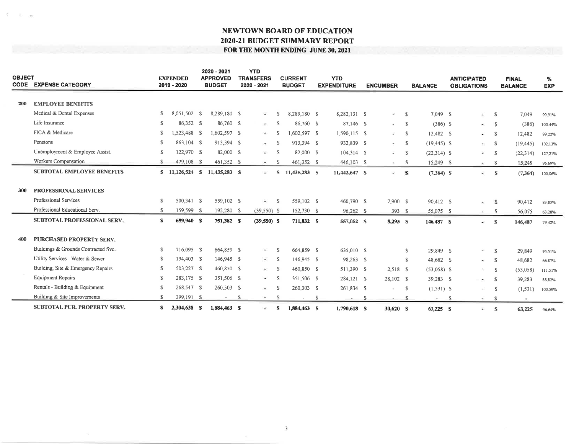| <b>OBJECT</b> | <b>CODE EXPENSE CATEGORY</b>        |    | <b>EXPENDED</b><br>2019 - 2020 | 2020 - 2021<br><b>APPROVED</b><br><b>BUDGET</b> |              | <b>YTD</b><br><b>TRANSFERS</b><br>2020 - 2021 |     | <b>CURRENT</b><br><b>BUDGET</b> |   | <b>YTD</b><br><b>EXPENDITURE</b> |    | <b>ENCUMBER</b> |              | <b>BALANCE</b> |              | <b>ANTICIPATED</b><br><b>OBLIGATIONS</b> |              | <b>FINAL</b><br><b>BALANCE</b> | %<br><b>EXP</b> |
|---------------|-------------------------------------|----|--------------------------------|-------------------------------------------------|--------------|-----------------------------------------------|-----|---------------------------------|---|----------------------------------|----|-----------------|--------------|----------------|--------------|------------------------------------------|--------------|--------------------------------|-----------------|
| 200           | <b>EMPLOYEE BENEFITS</b>            |    |                                |                                                 |              |                                               |     |                                 |   |                                  |    |                 |              |                |              |                                          |              |                                |                 |
|               |                                     |    |                                |                                                 |              |                                               |     |                                 |   |                                  |    |                 |              |                |              |                                          |              |                                |                 |
|               | Medical & Dental Expenses           | S  | 8,051,502 \$                   | 8,289,180 S                                     |              | $\omega$ .                                    | S   | 8,289,180 S                     |   | 8.282,131 \$                     |    | $-5$            |              | 7,049 \$       |              | ¥.                                       | <sup>S</sup> | 7,049                          | 99.91%          |
|               | Life Insurance                      | S  | 86,352 S                       | 86,760 S                                        |              | æ.                                            | -S  | 86,760 S                        |   | 87,146 \$                        |    | $-5$            |              | $(386)$ \$     |              | $-5$                                     |              | (386)                          | 100.44%         |
|               | FICA & Medicare                     | S. | 1,523,488 \$                   | 1,602,597 \$                                    |              | $\mathcal{L}^{\mathcal{L}}$                   | -S  | 1.602.597 \$                    |   | 1,590,115 \$                     |    | $\sim$ s        |              | 12,482 \$      |              | $- S$                                    |              | 12,482                         | 99.22%          |
|               | Pensions                            | s. | 863,104 \$                     | 913,394 S                                       |              | e :                                           | -S  | 913,394 S                       |   | 932,839 \$                       |    | $\sim$ S        |              | $(19, 445)$ \$ |              | $\sim$ S                                 |              | (19, 445)                      | 102.13%         |
|               | Unemployment & Employee Assist.     | S  | 122,970 \$                     | 82,000 \$                                       |              | W.                                            | -S  | 82,000 \$                       |   | 104.314 \$                       |    | $-$ S           |              | $(22, 314)$ \$ |              | s.                                       | $\mathbb{S}$ | (22, 314)                      | 127,21%         |
|               | Workers Compensation                | S. | 479,108 \$                     | 461,352 S                                       |              | $\omega$                                      | -S  | 461,352 \$                      |   | 446,103 \$                       |    | $-5$            |              | 15,249 S       |              | $\sim$ S                                 |              | 15,249                         | 96.69%          |
|               | <b>SUBTOTAL EMPLOYEE BENEFITS</b>   |    |                                | \$ 11,126,524 \$ 11,435,283 \$                  |              | ÷.                                            | S.  | 11,435,283 S                    |   | 11,442,647 S                     |    | $-S$            |              | $(7,364)$ S    |              | $\ddot{\phantom{0}}$                     | $\mathbf{s}$ | (7, 364)                       | 100.06%         |
|               |                                     |    |                                |                                                 |              |                                               |     |                                 |   |                                  |    |                 |              |                |              |                                          |              |                                |                 |
| 300           | PROFESSIONAL SERVICES               |    |                                |                                                 |              |                                               |     |                                 |   |                                  |    |                 |              |                |              |                                          |              |                                |                 |
|               | Professional Services               | s  | 500.341 \$                     | 559,102 \$                                      |              | $\overline{\phantom{a}}$                      | -S  | 559,102 S                       |   | 460,790 \$                       |    | 7,900 \$        |              | 90,412 \$      |              | $\sim$                                   | -S.          | 90,412                         | 83 83%          |
|               | Professional Educational Serv.      | S. | 159,599 \$                     | 192,280 \$                                      |              | $(39.550)$ \$                                 |     | 152,730 S                       |   | 96,262 \$                        |    | 393 \$          |              | 56,075 S       |              | $\sim$                                   | -S           | 56,075                         | 63 28%          |
|               | <b>SUBTOTAL PROFESSIONAL SERV.</b>  | s  | 659,940 S                      | 751,382 S                                       |              | $(39,550)$ S                                  |     | 711,832 S                       |   | 557,052 S                        |    | 8.293 S         |              | 146,487 S      |              | ÷.                                       | $\mathbb{S}$ | 146,487                        | 79.42%          |
|               |                                     |    |                                |                                                 |              |                                               |     |                                 |   |                                  |    |                 |              |                |              |                                          |              |                                |                 |
| 400           | <b>PURCHASED PROPERTY SERV.</b>     |    |                                |                                                 |              |                                               |     |                                 |   |                                  |    |                 |              |                |              |                                          |              |                                |                 |
|               | Buildings & Grounds Contracted Svc. | S. | 716.095 \$                     | 664,859 \$                                      |              | $\sim$                                        | -S  | 664,859 \$                      |   | 635,010 \$                       |    | $-5$            |              | 29,849 S       |              | $\ddot{\phantom{1}}$                     | - S          | 29,849                         | 95.51%          |
|               | Utility Services - Water & Sewer    | S  | 134,403 \$                     | 146,945 \$                                      |              | $\overline{\phantom{a}}$                      | -S  | 146,945 \$                      |   | 98,263 \$                        |    | $\sim$          | $\mathbb{S}$ | 48,682 S       |              | $-5$                                     |              | 48,682                         | 66.87%          |
|               | Building, Site & Emergency Repairs  | s  | 503,227 \$                     | 460,850 \$                                      |              | $\sim$                                        | -S  | 460,850 S                       |   | 511,390 \$                       |    | $2,518$ \$      |              | $(53,058)$ \$  |              | z.                                       | <b>S</b>     | (53,058)                       | 111.51%         |
|               | Equipment Repairs                   | S  | 283.175 S                      | 351,506 \$                                      |              | $\mathcal{L}$                                 | -S  | 351,506 \$                      |   | 284,121 \$                       |    | 28,102 \$       |              | 39,283 \$      |              | ٠.                                       | $\mathbf{s}$ | 39,283                         | 88.82%          |
|               | Rentals - Building & Equipment      | s  | 268,547 \$                     | 260,303 \$                                      |              | CH.                                           | - S | 260,303 \$                      |   | 261,834 \$                       |    |                 | -S           | $(1,531)$ \$   |              | ÷.                                       | $\mathbf{s}$ | (1, 531)                       | 100.59%         |
|               | Building & Site Improvements        | S. | 399,191 S                      | $\overline{\phantom{a}}$                        | <sub>S</sub> | $\sim$                                        | -S  | $\sim$                          | S | $\sim$                           | -S | $\sim$          | -S           | $\sim$         | <sup>S</sup> | $\sim$                                   | <b>S</b>     | ×.                             |                 |
|               | <b>SUBTOTAL PUR. PROPERTY SERV.</b> | S  | 2,304,638 \$                   | 1,884,463 \$                                    |              | $\sim$                                        | S   | 1,884,463 \$                    |   | 1,790,618 S                      |    | 30,620 S        |              | 63,225 S       |              | a.                                       | S            | 63,225                         | 96.64%          |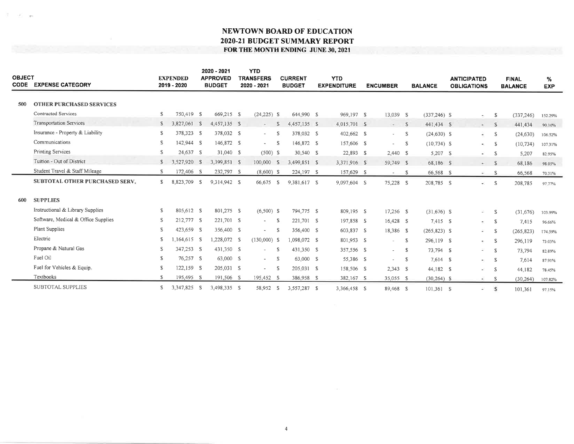| <b>OBJECT</b><br><b>CODE</b> | <b>EXPENSE CATEGORY</b>             |              | <b>EXPENDED</b><br>2019 - 2020 |               | 2020 - 2021<br><b>APPROVED</b><br><b>BUDGET</b> | <b>YTD</b><br><b>TRANSFERS</b><br>2020 - 2021 |              | <b>CURRENT</b><br><b>BUDGET</b> | <b>YTD</b><br><b>EXPENDITURE</b> | <b>ENCUMBER</b> |              | <b>BALANCE</b>  | <b>ANTICIPATED</b><br><b>OBLIGATIONS</b> |      | <b>FINAL</b><br><b>BALANCE</b> | %<br><b>EXP</b> |  |
|------------------------------|-------------------------------------|--------------|--------------------------------|---------------|-------------------------------------------------|-----------------------------------------------|--------------|---------------------------------|----------------------------------|-----------------|--------------|-----------------|------------------------------------------|------|--------------------------------|-----------------|--|
| 500                          | <b>OTHER PURCHASED SERVICES</b>     |              |                                |               |                                                 |                                               |              |                                 |                                  |                 |              |                 |                                          |      |                                |                 |  |
|                              | Contracted Services                 | s            | 750,419 \$                     |               | 669,215 \$                                      | $(24,225)$ \$                                 |              | 644,990 \$                      | 969,197 \$                       | 13,039 \$       |              | $(337, 246)$ S  | $\sim$                                   | - \$ | (337, 246)                     | 152.29%         |  |
|                              | <b>Transportation Services</b>      | S.           | 3,827,061                      | $\mathcal{S}$ | 4,457,135 \$                                    | $\sim$                                        | $\mathbb{S}$ | 4,457,135 S                     | 4,015,701 \$                     | $- S$           |              | 441,434 \$      | $=$ $S$                                  |      | 441,434                        | 90.10%          |  |
|                              | Insurance - Property & Liability    | S            | 378,323 S                      |               | 378,032 S                                       | $\sim$                                        | -S           | 378,032 \$                      | 402,662 \$                       | $- S$           |              | $(24, 630)$ \$  | ÷.                                       | -S   | (24, 630)                      | 106,52%         |  |
|                              | Communications                      | S            | 142,944 \$                     |               | 146,872 \$                                      | $-5$                                          |              | 146,872 \$                      | 157,606 \$                       | $\sim 10^{-11}$ | $\mathbb{S}$ | $(10, 734)$ \$  | $\sim$ S                                 |      | (10, 734)                      | 107.31%         |  |
|                              | Printing Services                   | S.           | 24,637 \$                      |               | 31,040 \$                                       | $(500)$ \$                                    |              | 30,540 S                        | 22,893 \$                        | 2,440 S         |              | 5,207 \$        | $-$ S                                    |      | 5,207                          | 82.95%          |  |
|                              | Tuition - Out of District           | $\mathbb{S}$ | 3,527,920 \$                   |               | 3,399,851 \$                                    | 100,000 \$                                    |              | 3,499,851 \$                    | 3,371,916 \$                     | 59,749 \$       |              | 68,186 \$       | $- S$                                    |      | 68,186                         | 98.05%          |  |
|                              | Student Travel & Staff Mileage      | S            | 172,406 S                      |               | 232,797 S                                       | $(8,600)$ \$                                  |              | 224,197 S                       | 157,629 \$                       | $-$ S           |              | 66,568 \$       | $-$ S                                    |      | 66,568                         | 70.31%          |  |
|                              | SUBTOTAL OTHER PURCHASED SERV.      | S.           | 8,823,709 \$                   |               | 9.314.942 S                                     | 66,675                                        | $\mathbb{S}$ | 9,381,617 S                     | 9,097,604 S                      | 75,228 \$       |              | 208,785 S       | ÷.                                       | - S  | 208,785                        | 97.77%          |  |
| 600                          | <b>SUPPLIES</b>                     |              |                                |               |                                                 |                                               |              |                                 |                                  |                 |              |                 |                                          |      |                                |                 |  |
|                              | Instructional & Library Supplies    | S            | 805,612 \$                     |               | 801,275 S                                       | $(6,500)$ \$                                  |              | 794,775 S                       | 809,195 \$                       | 17,256 \$       |              | $(31,676)$ \$   | $\sim$                                   | -S   | (31,676)                       | 103.99%         |  |
|                              | Software, Medical & Office Supplies | S            | 212,777 S                      |               | 221,701 \$                                      | $\overline{\phantom{a}}$                      | -S           | 221,701 S                       | 197,858 \$                       | 16,428 \$       |              | $7,415$ \$      | $-5$                                     |      | 7,415                          | 96.66%          |  |
|                              | Plant Supplies                      | S.           | 423,659 S                      |               | 356,400 S                                       | $\overline{\phantom{a}}$                      | -S           | 356,400 S                       | 603,837 \$                       | 18,386 \$       |              | $(265, 823)$ \$ | A.                                       | - S  | (265, 823)                     | 174.59%         |  |
|                              | Electric                            | S            | $1,164,615$ S                  |               | 1,228,072 S                                     | $(130,000)$ \$                                |              | 1.098.072 \$                    | 801,953 \$                       | $\sim$          | - S          | 296,119 \$      | $-5$                                     |      | 296,119                        | 73.03%          |  |
|                              | Propane & Natural Gas               | S.           | 347,253 S                      |               | 431,350 S                                       | $\overline{\phantom{a}}$                      | -S           | 431,350 S                       | 357,556 \$                       | $-5$            |              | 73,794 \$       | $-5$                                     |      | 73,794                         | 82.89%          |  |
|                              | Fuel Oil                            | S            | 76,257 \$                      |               | 63,000 \$                                       | $-$                                           | - S          | 63,000 \$                       | 55,386 S                         | $\sim$ $-$      | <b>S</b>     | 7,614 \$        | $\sim$ S                                 |      | 7,614                          | 87.91%          |  |
|                              | Fuel for Vehicles & Equip.          | S            | 122,159 S                      |               | 205,031 \$                                      | $\overline{\phantom{a}}$                      | - S          | 205,031 \$                      | 158,506 \$                       | $2,343$ \$      |              | 44,182 \$       | a.                                       | - S  | 44,182                         | 78.45%          |  |
|                              | Textbooks                           | s.           | 195,495 S                      |               | 191,506 S                                       | 195,452 S                                     |              | 386,958 \$                      | 382,167 \$                       | 35,055 \$       |              | $(30, 264)$ \$  | $\omega$                                 | -S   | (30, 264)                      | 107 82%         |  |
|                              | SUBTOTAL SUPPLIES                   | S.           | 3,347,825 S                    |               | 3,498,335 S                                     | 58,952 \$                                     |              | 3,557,287 \$                    | 3.366.458 S                      | 89.468 S        |              | 101.361 S       | ×                                        | S    | 101,361                        | 97.15%          |  |